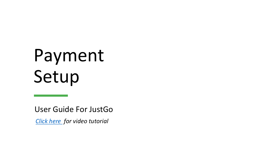# Payment Setup

User Guide For JustGo

*[Click here](https://youtu.be/Vsf8rvW0D9E) for video tutorial*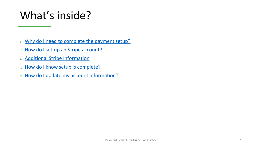### What's inside?

- o [Why do I need to complete the payment setup?](#page-2-0)
- o [How do I set-up an Stripe account?](#page-3-0)
- o [Additional Stripe Information](#page-7-0)
- o [How do I know setup is complete?](#page-8-0)
- o [How do I update my account information?](#page-9-0)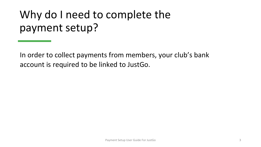## <span id="page-2-0"></span>Why do I need to complete the payment setup?

In order to collect payments from members, your club's bank account is required to be linked to JustGo.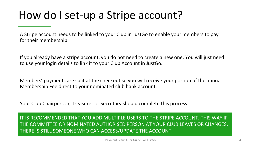### <span id="page-3-0"></span>How do I set-up a Stripe account?

A Stripe account needs to be linked to your Club in JustGo to enable your members to pay for their membership.

If you already have a stripe account, you do not need to create a new one. You will just need to use your login details to link it to your Club Account in JustGo.

Members' payments are split at the checkout so you will receive your portion of the annual Membership Fee direct to your nominated club bank account.

Your Club Chairperson, Treasurer or Secretary should complete this process.

IT IS RECOMMENDED THAT YOU ADD MULTIPLE USERS TO THE STRIPE ACCOUNT. THIS WAY IF THE COMMITTEE OR NOMINATED AUTHORISED PERSON AT YOUR CLUB LEAVES OR CHANGES, THERE IS STILL SOMEONE WHO CAN ACCESS/UPDATE THE ACCOUNT.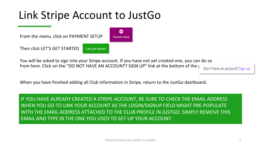### Link Stripe Account to JustGo

From the menu, click on PAYMENT SETUP

Then click LET'S GET STARTED

Let's get started

You will be asked to sign into your Stripe account. If you have not yet created one, you can do so from here. Click on the "DO NOT HAVE AN ACCOUNT? SIGN UP" link at the bottom of the page on account? Sign up

n

**Payment Setup** 

When you have finished adding all Club information in Stripe, return to the JustGo dashboard.

IF YOU HAVE ALREADY CREATED A STRIPE ACCOUNT, BE SURE TO CHECK THE EMAIL ADDRESS WHEN YOU GO TO LINK YOUR ACCOUNT AS THE LOGIN/SIGNUP FIELD MIGHT PRE-POPULATE WITH THE EMAIL ADDRESS ATTACHED TO THE CLUB PROFILE IN JUSTGO. SIMPLY REMOVE THIS EMAIL AND TYPE IN THE ONE YOU USED TO SET-UP YOUR ACCOUNT.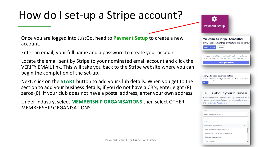### How do I set-up a Stripe account?

Once you are logged into JustGo, head to **Payment Setup** to create a new account.

Enter an email, your full name and a password to create your account.

Locate the email sent by Stripe to your nominated email account and click the VERIFY EMAIL link. This will take you back to the Stripe website where you can begin the completion of the set-up.

Next, click on the **START** button to add your Club details. When you get to the section to add your business details, if you do not have a CRN, enter eight (8) zeros (0). If your club does not have a postal address, enter your own address.

Under Industry, select **MEMBERSHIP ORGANISATIONS** then select OTHER MEMBERSHIP ORGANISATIONS.

| <b>Payment Setup</b>            |                                                                                                                                 |
|---------------------------------|---------------------------------------------------------------------------------------------------------------------------------|
|                                 | <b>Welcome to Stripe, Samantha!</b>                                                                                             |
|                                 | First, check samanthaponytest@outlook.com                                                                                       |
| <b>Open Outlook</b>             | Resend                                                                                                                          |
|                                 |                                                                                                                                 |
|                                 | Verify your email address so we know it's really you-and so we<br>can send you important information about your Stripe account. |
|                                 | Verify email address                                                                                                            |
|                                 |                                                                                                                                 |
| D                               | Next, add your business details<br>Tell us a little more about your business to activate your account.                          |
| Start $\rightarrow$             | Tell us about your business<br>The information Stripe collects about your business helps                                        |
| and our Services Agreement.     | us meet requirements from regulators, financial partners,                                                                       |
|                                 |                                                                                                                                 |
| Industry                        |                                                                                                                                 |
| Please select your industry     | ٥                                                                                                                               |
| Search<br>Professional services |                                                                                                                                 |

Religious organisations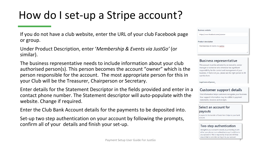### How do I set-up a Stripe account?

If you do not have a club website, enter the URL of your club Facebook page or group.

Under Product Description, enter '*Membership & Events via JustGo'* (or similar).

The business representative needs to include information about your club authorised person(s). This person becomes the account "owner" which is the person responsible for the account. The most appropriate person for this in your Club will be the Treasurer, Chairperson or Secretary.

Enter details for the Statement Descriptor in the fields provided and enter in a contact phone number. The Statement descriptor will auto-populate with the website. Change if required.

Enter the Club Bank Account details for the payments to be deposited into.

Set-up two step authentication on your account by following the prompts, confirm all of your details and finish your set-up.

| <b>Business website</b>         |  |  |
|---------------------------------|--|--|
| https://www.facebook.com/pcansw |  |  |
| <b>Product description</b>      |  |  |
| Memberships & Events via JustGo |  |  |
|                                 |  |  |

#### **Business representative**

This account must be activated by an executive, senior manager or someone who otherwise has significant responsibility for the control and management of your business. If that's not you, please ask the right person to fill out this form.

Legal name of person

### **Customer support details**

This information helps customers recognise your business. Your support information may be visible in payment statements, invoices and receipts.

#### Select an account for payouts

A payout is the transfer of funds from Stripe to your bank account

#### Two-step authentication

Strengthen your account's security by protecting it with either your phone or an authenticator app in addition to your password. This is required by Stripe and will help ensure that no one else can log in to your account.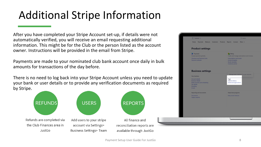## <span id="page-7-0"></span>Additional Stripe Information

After you have completed your Stripe Account set-up, if details were not automatically verified, you will receive an email requesting additional information. This might be for the Club or the person listed as the account owner. Instructions will be provided in the email from Stripe.

Payments are made to your nominated club bank account once daily in bulk amounts for transactions of the day before.

There is no need to log back into your Stripe Account unless you need to update your bank or user details or to provide any verification documents as required by Stripe.



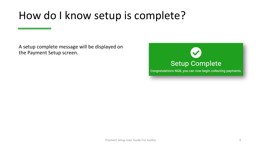### <span id="page-8-0"></span>How do I know setup is complete?

A setup complete message will be displayed on the Payment Setup screen.